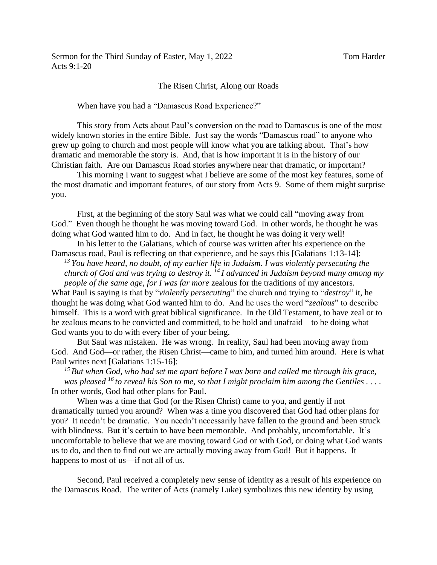## The Risen Christ, Along our Roads

When have you had a "Damascus Road Experience?"

This story from Acts about Paul's conversion on the road to Damascus is one of the most widely known stories in the entire Bible. Just say the words "Damascus road" to anyone who grew up going to church and most people will know what you are talking about. That's how dramatic and memorable the story is. And, that is how important it is in the history of our Christian faith. Are our Damascus Road stories anywhere near that dramatic, or important?

This morning I want to suggest what I believe are some of the most key features, some of the most dramatic and important features, of our story from Acts 9. Some of them might surprise you.

First, at the beginning of the story Saul was what we could call "moving away from God." Even though he thought he was moving toward God. In other words, he thought he was doing what God wanted him to do. And in fact, he thought he was doing it very well!

In his letter to the Galatians, which of course was written after his experience on the Damascus road, Paul is reflecting on that experience, and he says this [Galatians 1:13-14]:

*<sup>13</sup> You have heard, no doubt, of my earlier life in Judaism. I was violently persecuting the church of God and was trying to destroy it. <sup>14</sup> I advanced in Judaism beyond many among my people of the same age, for I was far more* zealous for the traditions of my ancestors.

What Paul is saying is that by "*violently persecuting*" the church and trying to "*destroy*" it, he thought he was doing what God wanted him to do. And he uses the word "*zealous*" to describe himself. This is a word with great biblical significance. In the Old Testament, to have zeal or to be zealous means to be convicted and committed, to be bold and unafraid—to be doing what God wants you to do with every fiber of your being.

But Saul was mistaken. He was wrong. In reality, Saul had been moving away from God. And God—or rather, the Risen Christ—came to him, and turned him around. Here is what Paul writes next [Galatians 1:15-16]:

*<sup>15</sup> But when God, who had set me apart before I was born and called me through his grace, was pleased <sup>16</sup> to reveal his Son to me, so that I might proclaim him among the Gentiles . . . .*  In other words, God had other plans for Paul.

When was a time that God (or the Risen Christ) came to you, and gently if not dramatically turned you around? When was a time you discovered that God had other plans for you? It needn't be dramatic. You needn't necessarily have fallen to the ground and been struck with blindness. But it's certain to have been memorable. And probably, uncomfortable. It's uncomfortable to believe that we are moving toward God or with God, or doing what God wants us to do, and then to find out we are actually moving away from God! But it happens. It happens to most of us—if not all of us.

Second, Paul received a completely new sense of identity as a result of his experience on the Damascus Road. The writer of Acts (namely Luke) symbolizes this new identity by using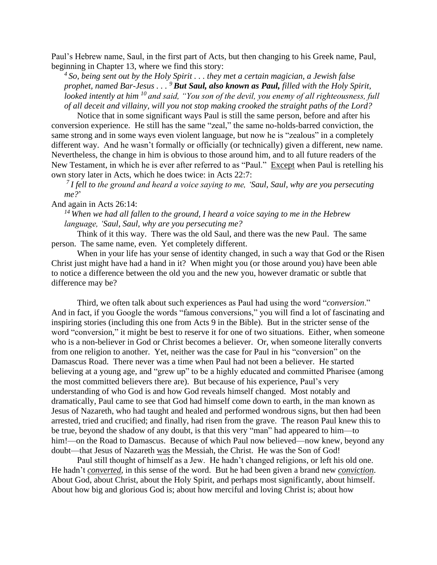Paul's Hebrew name, Saul, in the first part of Acts, but then changing to his Greek name, Paul, beginning in Chapter 13, where we find this story:

*4 So, being sent out by the Holy Spirit . . . they met a certain magician, a Jewish false prophet, named Bar-Jesus . . . <sup>9</sup> But Saul, also known as Paul, filled with the Holy Spirit, looked intently at him <sup>10</sup> and said, "You son of the devil, you enemy of all righteousness, full of all deceit and villainy, will you not stop making crooked the straight paths of the Lord?*

Notice that in some significant ways Paul is still the same person, before and after his conversion experience. He still has the same "zeal," the same no-holds-barred conviction, the same strong and in some ways even violent language, but now he is "zealous" in a completely different way. And he wasn't formally or officially (or technically) given a different, new name. Nevertheless, the change in him is obvious to those around him, and to all future readers of the New Testament, in which he is ever after referred to as "Paul." Except when Paul is retelling his own story later in Acts, which he does twice: in Acts 22:7:

*7 I fell to the ground and heard a voice saying to me, 'Saul, Saul, why are you persecuting me?*'

And again in Acts 26:14:

*<sup>14</sup> When we had all fallen to the ground, I heard a voice saying to me in the Hebrew language, 'Saul, Saul, why are you persecuting me?* 

Think of it this way. There was the old Saul, and there was the new Paul. The same person. The same name, even. Yet completely different.

When in your life has your sense of identity changed, in such a way that God or the Risen Christ just might have had a hand in it? When might you (or those around you) have been able to notice a difference between the old you and the new you, however dramatic or subtle that difference may be?

Third, we often talk about such experiences as Paul had using the word "*conversion*." And in fact, if you Google the words "famous conversions," you will find a lot of fascinating and inspiring stories (including this one from Acts 9 in the Bible). But in the stricter sense of the word "conversion," it might be best to reserve it for one of two situations. Either, when someone who is a non-believer in God or Christ becomes a believer. Or, when someone literally converts from one religion to another. Yet, neither was the case for Paul in his "conversion" on the Damascus Road. There never was a time when Paul had not been a believer. He started believing at a young age, and "grew up" to be a highly educated and committed Pharisee (among the most committed believers there are). But because of his experience, Paul's very understanding of who God is and how God reveals himself changed. Most notably and dramatically, Paul came to see that God had himself come down to earth, in the man known as Jesus of Nazareth, who had taught and healed and performed wondrous signs, but then had been arrested, tried and crucified; and finally, had risen from the grave. The reason Paul knew this to be true, beyond the shadow of any doubt, is that this very "man" had appeared to him—to him!—on the Road to Damascus. Because of which Paul now believed—now knew, beyond any doubt—that Jesus of Nazareth was the Messiah, the Christ. He was the Son of God!

Paul still thought of himself as a Jew. He hadn't changed religions, or left his old one. He hadn't *converted*, in this sense of the word. But he had been given a brand new *conviction*. About God, about Christ, about the Holy Spirit, and perhaps most significantly, about himself. About how big and glorious God is; about how merciful and loving Christ is; about how